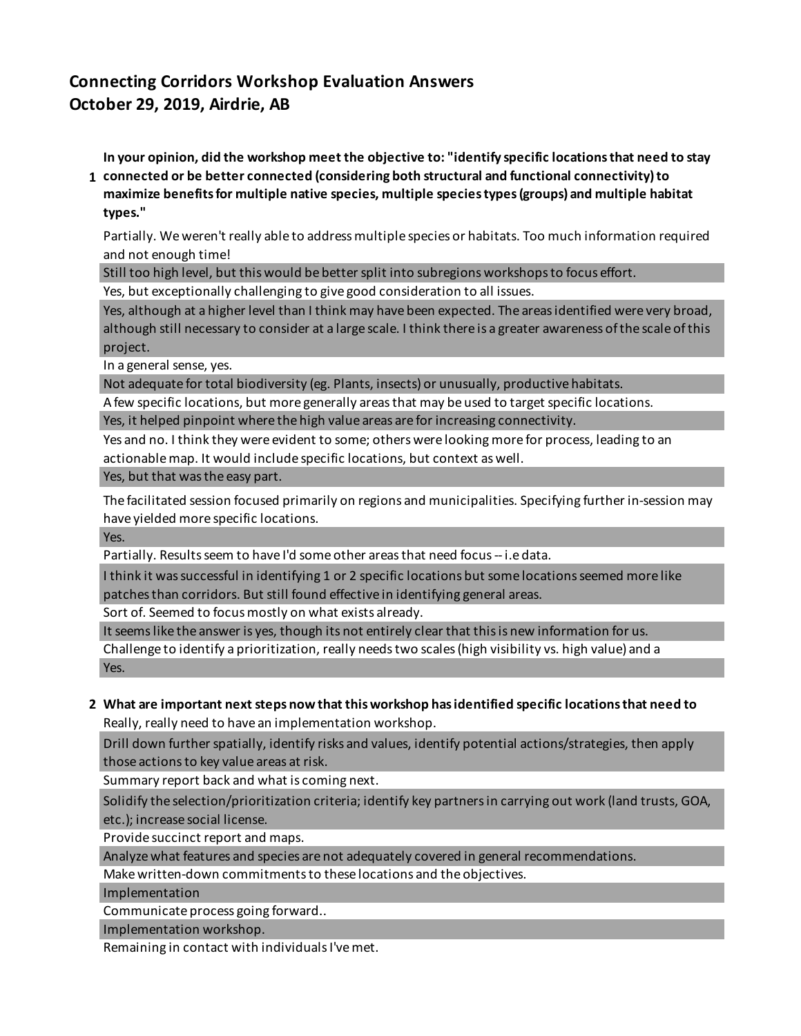# **Connecting Corridors Workshop Evaluation Answers October 29, 2019, Airdrie, AB**

**In your opinion, did the workshop meet the objective to: "identify specific locations that need to stay** 

**1 connected or be better connected (considering both structural and functional connectivity) to maximize benefits for multiple native species, multiple species types (groups) and multiple habitat types."**

Partially. We weren't really able to address multiple species or habitats. Too much information required and not enough time!

Still too high level, but this would be better split into subregions workshops to focus effort.

Yes, but exceptionally challenging to give good consideration to all issues.

Yes, although at a higher level than I think may have been expected. The areas identified were very broad, although still necessary to consider at a large scale. I think there is a greater awareness of the scale of this project.

In a general sense, yes.

Not adequate for total biodiversity (eg. Plants, insects) or unusually, productive habitats.

A few specific locations, but more generally areas that may be used to target specific locations.

Yes, it helped pinpoint where the high value areas are for increasing connectivity.

Yes and no. I think they were evident to some; others were looking more for process, leading to an actionable map. It would include specific locations, but context as well.

## Yes, but that was the easy part.

The facilitated session focused primarily on regions and municipalities. Specifying further in-session may have yielded more specific locations.

Yes.

Partially. Results seem to have I'd some other areas that need focus -- i.e data.

I think it was successful in identifying 1 or 2 specific locations but some locations seemed more like patches than corridors. But still found effective in identifying general areas.

Sort of. Seemed to focus mostly on what exists already.

It seems like the answer is yes, though its not entirely clear that this is new information for us.

Challenge to identify a prioritization, really needs two scales (high visibility vs. high value) and a Yes.

## **2 What are important next steps now that this workshop has identified specific locations that need to**  Really, really need to have an implementation workshop.

Drill down further spatially, identify risks and values, identify potential actions/strategies, then apply those actions to key value areas at risk.

Summary report back and what is coming next.

Solidify the selection/prioritization criteria; identify key partners in carrying out work (land trusts, GOA, etc.); increase social license.

Provide succinct report and maps.

Analyze what features and species are not adequately covered in general recommendations.

Make written-down commitments to these locations and the objectives.

Implementation

Communicate process going forward..

Implementation workshop.

Remaining in contact with individuals I've met.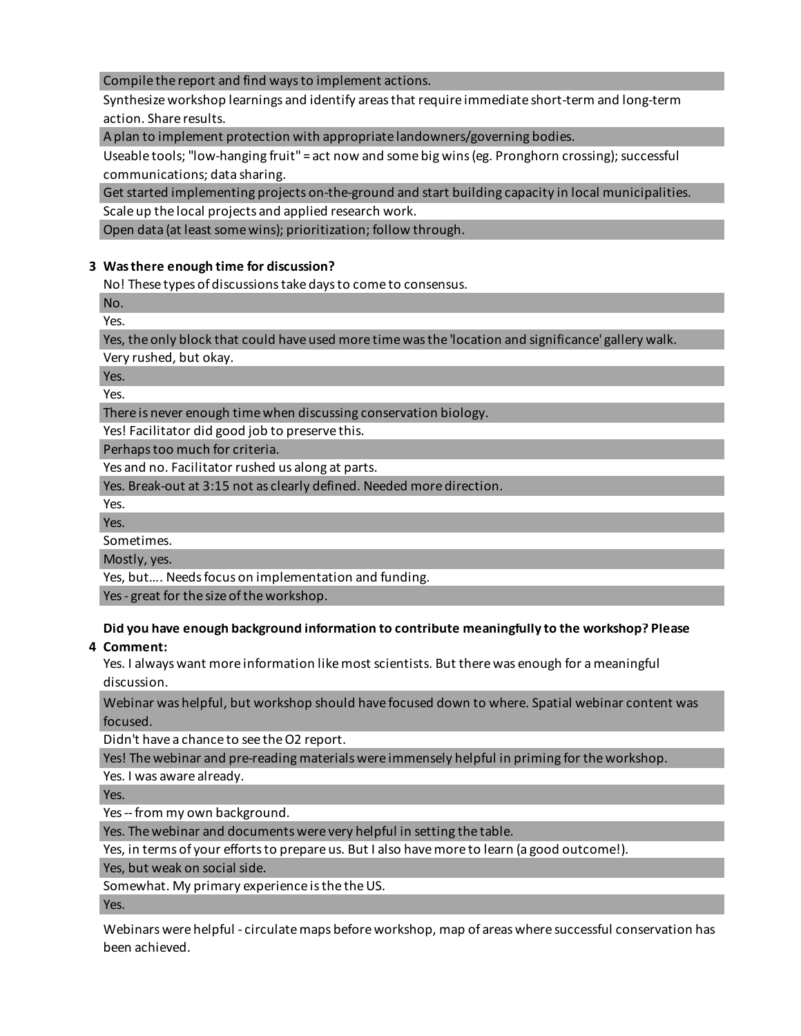## Compile the report and find ways to implement actions.

Synthesize workshop learnings and identify areas that require immediate short-term and long-term action. Share results.

A plan to implement protection with appropriate landowners/governing bodies.

Useable tools; "low-hanging fruit" = act now and some big wins (eg. Pronghorn crossing); successful communications; data sharing.

Get started implementing projects on-the-ground and start building capacity in local municipalities. Scale up the local projects and applied research work.

Open data (at least some wins); prioritization; follow through.

## **3 Was there enough time for discussion?**

No! These types of discussions take days to come to consensus.

No. Yes.

Yes, the only block that could have used more time was the 'location and significance' gallery walk.

Very rushed, but okay.

Yes.

Yes.

There is never enough time when discussing conservation biology.

Yes! Facilitator did good job to preserve this.

Perhaps too much for criteria.

Yes and no. Facilitator rushed us along at parts.

Yes. Break-out at 3:15 not as clearly defined. Needed more direction.

Yes.

Yes.

Sometimes.

Mostly, yes.

Yes, but…. Needs focus on implementation and funding.

Yes - great for the size of the workshop.

# **Did you have enough background information to contribute meaningfully to the workshop? Please**

## **4 Comment:**

Yes. I always want more information like most scientists. But there was enough for a meaningful discussion.

Webinar was helpful, but workshop should have focused down to where. Spatial webinar content was focused.

Didn't have a chance to see the O2 report.

Yes! The webinar and pre-reading materials were immensely helpful in priming for the workshop.

Yes. I was aware already.

Yes.

Yes -- from my own background.

Yes. The webinar and documents were very helpful in setting the table.

Yes, in terms of your efforts to prepare us. But I also have more to learn (a good outcome!).

Yes, but weak on social side.

Somewhat. My primary experience is the the US.

Yes.

Webinars were helpful - circulate maps before workshop, map of areas where successful conservation has been achieved.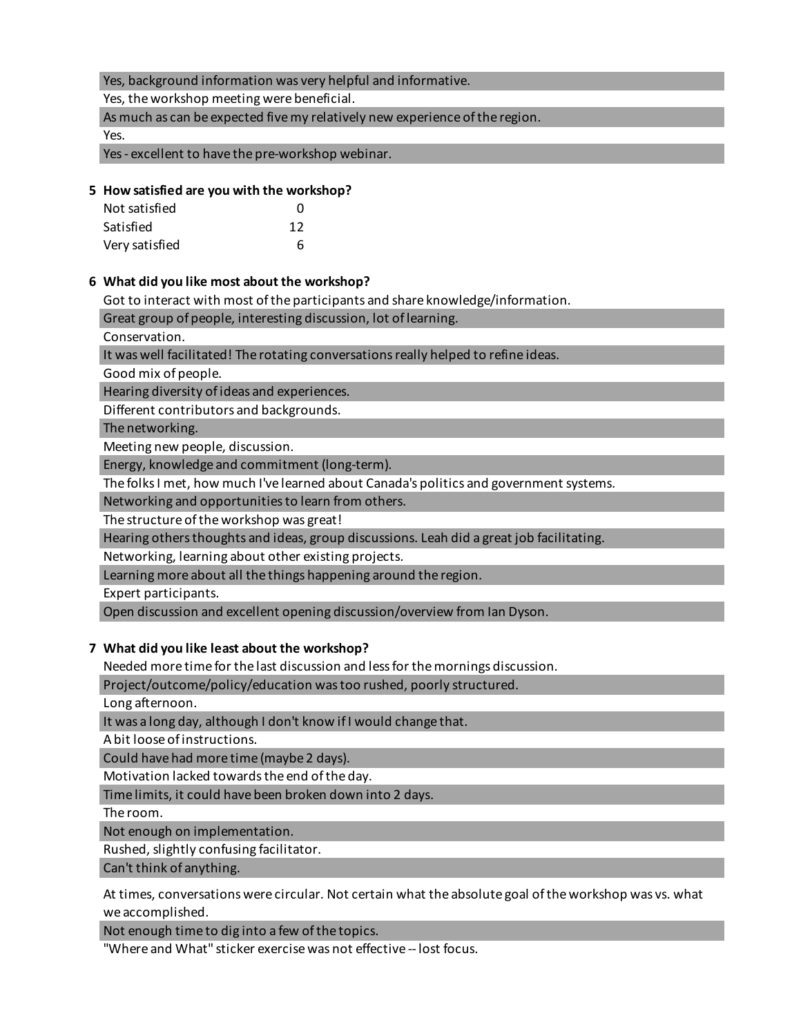## Yes, background information was very helpful and informative.

Yes, the workshop meeting were beneficial.

As much as can be expected five my relatively new experience of the region.

Yes.

Yes - excellent to have the pre-workshop webinar.

## **5 How satisfied are you with the workshop?**

| Not satisfied  | n  |
|----------------|----|
| Satisfied      | 12 |
| Very satisfied | 6  |

#### **6 What did you like most about the workshop?**

Got to interact with most of the participants and share knowledge/information.

Great group of people, interesting discussion, lot of learning.

Conservation.

It was well facilitated! The rotating conversations really helped to refine ideas.

Good mix of people.

Hearing diversity of ideas and experiences.

Different contributors and backgrounds.

The networking.

Meeting new people, discussion.

Energy, knowledge and commitment (long-term).

The folks I met, how much I've learned about Canada's politics and government systems.

Networking and opportunities to learn from others.

The structure of the workshop was great!

Hearing others thoughts and ideas, group discussions. Leah did a great job facilitating.

Networking, learning about other existing projects.

Learning more about all the things happening around the region.

Expert participants.

Open discussion and excellent opening discussion/overview from Ian Dyson.

## **7 What did you like least about the workshop?**

Needed more time for the last discussion and less for the mornings discussion.

Project/outcome/policy/education was too rushed, poorly structured.

Long afternoon.

It was a long day, although I don't know if I would change that.

A bit loose of instructions.

Could have had more time (maybe 2 days).

Motivation lacked towards the end of the day.

Time limits, it could have been broken down into 2 days.

The room.

Not enough on implementation.

Rushed, slightly confusing facilitator.

Can't think of anything.

At times, conversations were circular. Not certain what the absolute goal of the workshop was vs. what we accomplished.

Not enough time to dig into a few of the topics.

"Where and What" sticker exercise was not effective -- lost focus.